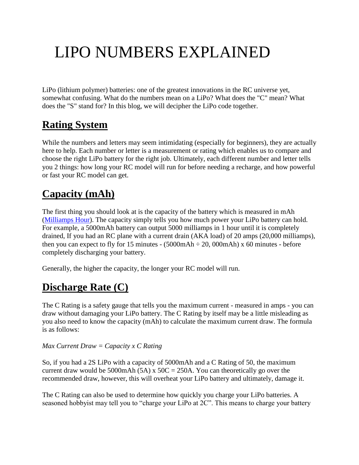# LIPO NUMBERS EXPLAINED

LiPo (lithium polymer) batteries: one of the greatest innovations in the RC universe yet, somewhat confusing. What do the numbers mean on a LiPo? What does the "C" mean? What does the "S" stand for? In this blog, we will decipher the LiPo code together.

# **Rating System**

While the numbers and letters may seem intimidating (especially for beginners), they are actually here to help. Each number or letter is a measurement or rating which enables us to compare and choose the right LiPo battery for the right job. Ultimately, each different number and letter tells you 2 things: how long your RC model will run for before needing a recharge, and how powerful or fast your RC model can get.

## **Capacity (mAh)**

The first thing you should look at is the capacity of the battery which is measured in mAh [\(Milliamps Hour\)](https://whatis.techtarget.com/definition/milliampere-hour-mAh). The capacity simply tells you how much power your LiPo battery can hold. For example, a 5000mAh battery can output 5000 milliamps in 1 hour until it is completely drained, If you had an RC plane with a current drain (AKA load) of 20 amps (20,000 milliamps), then you can expect to fly for 15 minutes -  $(5000 \text{ mA} + 20, 000 \text{ mA})$  x 60 minutes - before completely discharging your battery.

Generally, the higher the capacity, the longer your RC model will run.

### **Discharge Rate (C)**

The C Rating is a safety gauge that tells you the maximum current - measured in amps - you can draw without damaging your LiPo battery. The C Rating by itself may be a little misleading as you also need to know the capacity (mAh) to calculate the maximum current draw. The formula is as follows:

#### *Max Current Draw = Capacity x C Rating*

So, if you had a 2S LiPo with a capacity of 5000mAh and a C Rating of 50, the maximum current draw would be 5000mAh (5A) x  $50C = 250A$ . You can theoretically go over the recommended draw, however, this will overheat your LiPo battery and ultimately, damage it.

The C Rating can also be used to determine how quickly you charge your LiPo batteries. A seasoned hobbyist may tell you to "charge your LiPo at 2C". This means to charge your battery